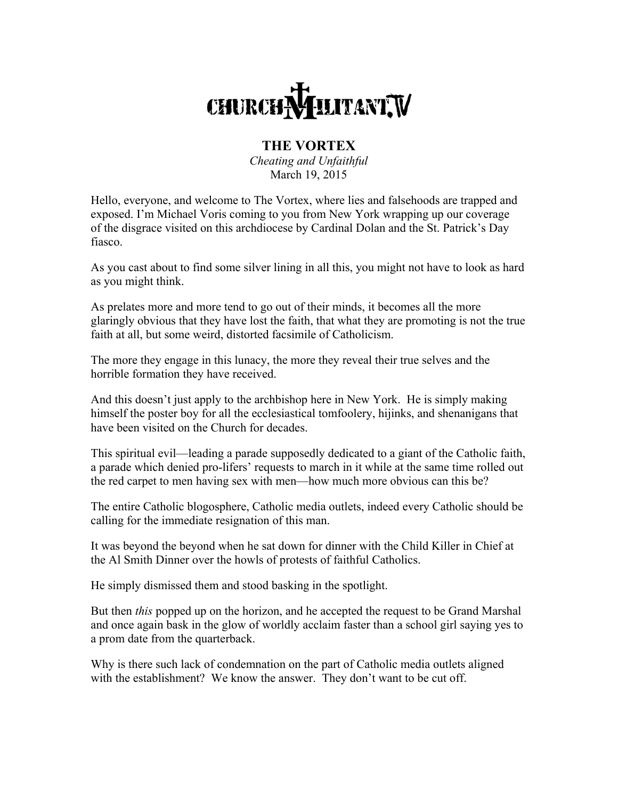## CHURCH MILITANT, V

## **THE VORTEX**

*Cheating and Unfaithful* March 19, 2015

Hello, everyone, and welcome to The Vortex, where lies and falsehoods are trapped and exposed. I'm Michael Voris coming to you from New York wrapping up our coverage of the disgrace visited on this archdiocese by Cardinal Dolan and the St. Patrick's Day fiasco.

As you cast about to find some silver lining in all this, you might not have to look as hard as you might think.

As prelates more and more tend to go out of their minds, it becomes all the more glaringly obvious that they have lost the faith, that what they are promoting is not the true faith at all, but some weird, distorted facsimile of Catholicism.

The more they engage in this lunacy, the more they reveal their true selves and the horrible formation they have received.

And this doesn't just apply to the archbishop here in New York. He is simply making himself the poster boy for all the ecclesiastical tomfoolery, hijinks, and shenanigans that have been visited on the Church for decades.

This spiritual evil—leading a parade supposedly dedicated to a giant of the Catholic faith, a parade which denied pro-lifers' requests to march in it while at the same time rolled out the red carpet to men having sex with men—how much more obvious can this be?

The entire Catholic blogosphere, Catholic media outlets, indeed every Catholic should be calling for the immediate resignation of this man.

It was beyond the beyond when he sat down for dinner with the Child Killer in Chief at the Al Smith Dinner over the howls of protests of faithful Catholics.

He simply dismissed them and stood basking in the spotlight.

But then *this* popped up on the horizon, and he accepted the request to be Grand Marshal and once again bask in the glow of worldly acclaim faster than a school girl saying yes to a prom date from the quarterback.

Why is there such lack of condemnation on the part of Catholic media outlets aligned with the establishment? We know the answer. They don't want to be cut off.